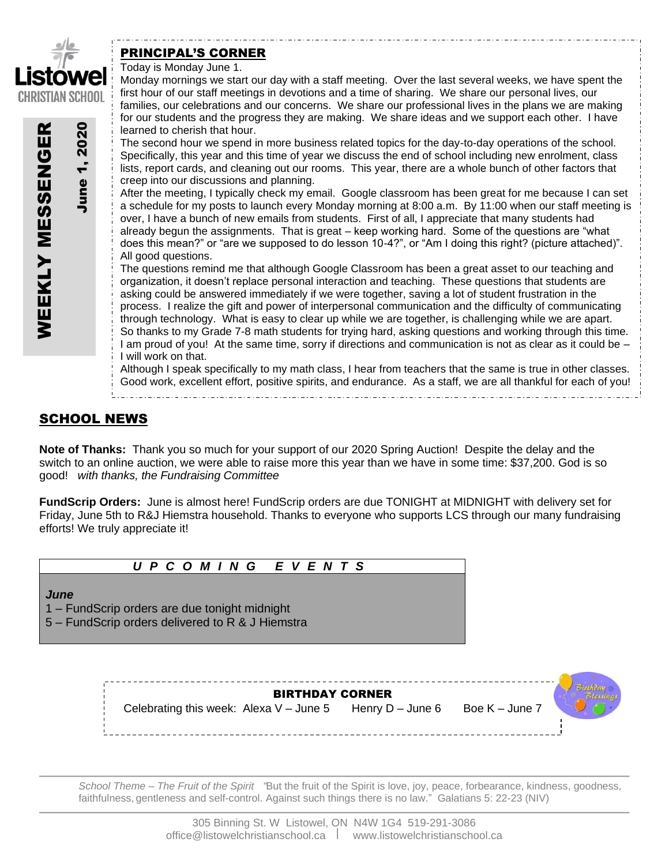

June 1, 2020

June 1,

2020

WEEKLY MESSENGER

**WEEKLY MESSENGER** 

# PRINCIPAL'S CORNER

Today is Monday June 1.

Monday mornings we start our day with a staff meeting. Over the last several weeks, we have spent the first hour of our staff meetings in devotions and a time of sharing. We share our personal lives, our families, our celebrations and our concerns. We share our professional lives in the plans we are making for our students and the progress they are making. We share ideas and we support each other. I have learned to cherish that hour.

The second hour we spend in more business related topics for the day-to-day operations of the school. Specifically, this year and this time of year we discuss the end of school including new enrolment, class lists, report cards, and cleaning out our rooms. This year, there are a whole bunch of other factors that creep into our discussions and planning.

After the meeting, I typically check my email. Google classroom has been great for me because I can set a schedule for my posts to launch every Monday morning at 8:00 a.m. By 11:00 when our staff meeting is over, I have a bunch of new emails from students. First of all, I appreciate that many students had already begun the assignments. That is great – keep working hard. Some of the questions are "what does this mean?" or "are we supposed to do lesson 10-4?", or "Am I doing this right? (picture attached)". All good questions.

The questions remind me that although Google Classroom has been a great asset to our teaching and organization, it doesn't replace personal interaction and teaching. These questions that students are asking could be answered immediately if we were together, saving a lot of student frustration in the process. I realize the gift and power of interpersonal communication and the difficulty of communicating through technology. What is easy to clear up while we are together, is challenging while we are apart. So thanks to my Grade 7-8 math students for trying hard, asking questions and working through this time. I am proud of you! At the same time, sorry if directions and communication is not as clear as it could be – I will work on that.

Although I speak specifically to my math class, I hear from teachers that the same is true in other classes. Good work, excellent effort, positive spirits, and endurance. As a staff, we are all thankful for each of you!

# SCHOOL NEWS

**Note of Thanks:** Thank you so much for your support of our 2020 Spring Auction! Despite the delay and the switch to an online auction, we were able to raise more this year than we have in some time: \$37,200. God is so good! *with thanks, the Fundraising Committee*

**FundScrip Orders:** June is almost here! FundScrip orders are due TONIGHT at MIDNIGHT with delivery set for Friday, June 5th to R&J Hiemstra household. Thanks to everyone who supports LCS through our many fundraising efforts! We truly appreciate it!

# *U P C O M I N G E V E N T S*

### *June*

1 – FundScrip orders are due tonight midnight

5 – FundScrip orders delivered to R & J Hiemstra

BIRTHDAY CORNER Celebrating this week: Alexa V – June 5 Henry  $D$  – June 6 Boe K – June 7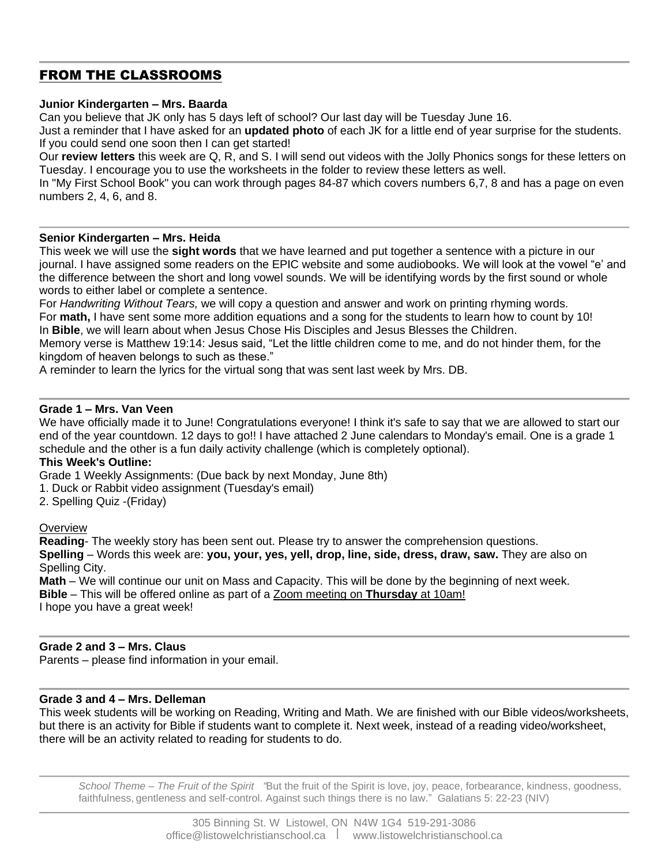# FROM THE CLASSROOMS

## **Junior Kindergarten – Mrs. Baarda**

Can you believe that JK only has 5 days left of school? Our last day will be Tuesday June 16.

Just a reminder that I have asked for an **updated photo** of each JK for a little end of year surprise for the students. If you could send one soon then I can get started!

Our **review letters** this week are Q, R, and S. I will send out videos with the Jolly Phonics songs for these letters on Tuesday. I encourage you to use the worksheets in the folder to review these letters as well.

In "My First School Book" you can work through pages 84-87 which covers numbers 6,7, 8 and has a page on even numbers 2, 4, 6, and 8.

### **Senior Kindergarten – Mrs. Heida**

This week we will use the **sight words** that we have learned and put together a sentence with a picture in our journal. I have assigned some readers on the EPIC website and some audiobooks. We will look at the vowel "e' and the difference between the short and long vowel sounds. We will be identifying words by the first sound or whole words to either label or complete a sentence.

For *Handwriting Without Tears,* we will copy a question and answer and work on printing rhyming words. For **math,** I have sent some more addition equations and a song for the students to learn how to count by 10! In **Bible**, we will learn about when Jesus Chose His Disciples and Jesus Blesses the Children.

Memory verse is Matthew 19:14: Jesus said, "Let the little children come to me, and do not hinder them, for the kingdom of heaven belongs to such as these."

A reminder to learn the lyrics for the virtual song that was sent last week by Mrs. DB.

### **Grade 1 – Mrs. Van Veen**

We have officially made it to June! Congratulations everyone! I think it's safe to say that we are allowed to start our end of the year countdown. 12 days to go!! I have attached 2 June calendars to Monday's email. One is a grade 1 schedule and the other is a fun daily activity challenge (which is completely optional).

### **This Week's Outline:**

Grade 1 Weekly Assignments: (Due back by next Monday, June 8th)

1. Duck or Rabbit video assignment (Tuesday's email)

2. Spelling Quiz -(Friday)

### **Overview**

**Reading**- The weekly story has been sent out. Please try to answer the comprehension questions. **Spelling** – Words this week are: **you, your, yes, yell, drop, line, side, dress, draw, saw.** They are also on Spelling City.

**Math** – We will continue our unit on Mass and Capacity. This will be done by the beginning of next week. **Bible** – This will be offered online as part of a Zoom meeting on **Thursday** at 10am! I hope you have a great week!

### **Grade 2 and 3 – Mrs. Claus**

Parents – please find information in your email.

## **Grade 3 and 4 – Mrs. Delleman**

This week students will be working on Reading, Writing and Math. We are finished with our Bible videos/worksheets, but there is an activity for Bible if students want to complete it. Next week, instead of a reading video/worksheet, there will be an activity related to reading for students to do.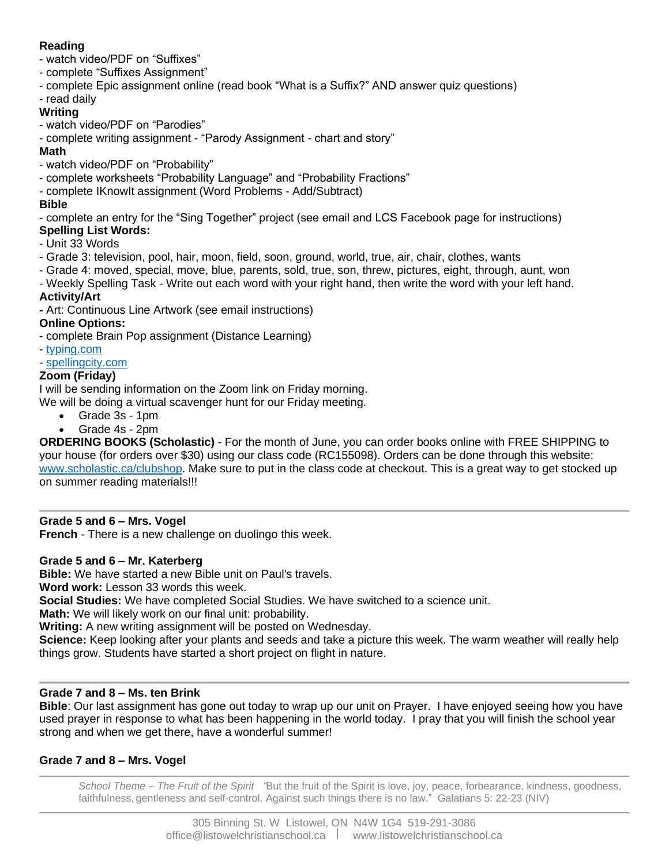# **Reading**

- watch video/PDF on "Suffixes"
- complete "Suffixes Assignment"
- complete Epic assignment online (read book "What is a Suffix?" AND answer quiz questions)
- read daily

## **Writing**

- watch video/PDF on "Parodies"
- complete writing assignment "Parody Assignment chart and story"

## **Math**

- watch video/PDF on "Probability"
- complete worksheets "Probability Language" and "Probability Fractions"
- complete IKnowIt assignment (Word Problems Add/Subtract)

## **Bible**

- complete an entry for the "Sing Together" project (see email and LCS Facebook page for instructions)

- **Spelling List Words:**
- Unit 33 Words
- Grade 3: television, pool, hair, moon, field, soon, ground, world, true, air, chair, clothes, wants
- Grade 4: moved, special, move, blue, parents, sold, true, son, threw, pictures, eight, through, aunt, won
- Weekly Spelling Task Write out each word with your right hand, then write the word with your left hand.

# **Activity/Art**

**-** Art: Continuous Line Artwork (see email instructions)

## **Online Options:**

- complete Brain Pop assignment (Distance Learning)

- [typing.com](http://typing.com/)
- [spellingcity.com](http://spellingcity.com/)

## **Zoom (Friday)**

I will be sending information on the Zoom link on Friday morning.

We will be doing a virtual scavenger hunt for our Friday meeting.

- Grade 3s 1pm
- Grade 4s 2pm

**ORDERING BOOKS (Scholastic)** - For the month of June, you can order books online with FREE SHIPPING to your house (for orders over \$30) using our class code (RC155098). Orders can be done through this website: [www.scholastic.ca/clubshop.](http://www.scholastic.ca/clubshop) Make sure to put in the class code at checkout. This is a great way to get stocked up on summer reading materials!!!

# **Grade 5 and 6 – Mrs. Vogel**

**French** - There is a new challenge on duolingo this week.

## **Grade 5 and 6 – Mr. Katerberg**

**Bible:** We have started a new Bible unit on Paul's travels.

**Word work:** Lesson 33 words this week.

**Social Studies:** We have completed Social Studies. We have switched to a science unit.

**Math:** We will likely work on our final unit: probability.

**Writing:** A new writing assignment will be posted on Wednesday.

**Science:** Keep looking after your plants and seeds and take a picture this week. The warm weather will really help things grow. Students have started a short project on flight in nature.

# **Grade 7 and 8 – Ms. ten Brink**

**Bible**: Our last assignment has gone out today to wrap up our unit on Prayer. I have enjoyed seeing how you have used prayer in response to what has been happening in the world today. I pray that you will finish the school year strong and when we get there, have a wonderful summer!

# **Grade 7 and 8 – Mrs. Vogel**